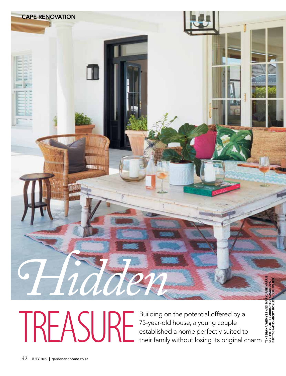

Building on the potential offered by a 75-year-old house, a young couple FREASURE Building on the potential offered by a<br>stablished a home perfectly suited to<br>their family without losing its original charm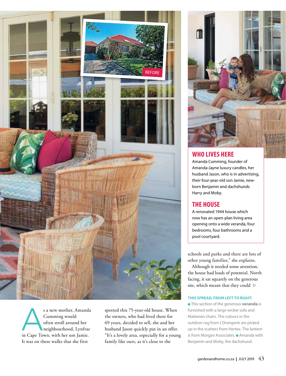

s a new mother, Amanda Cumming would often stroll around her neighbourhood, Lynfrae in Cape Town, with her son Jamie. It was on these walks that she first

spotted this 75-year-old house. When the owners, who had lived there for 69 years, decided to sell, she and her husband Jason quickly put in an offer. "It's a lovely area, especially for a young family like ours, as it's close to the



## **WHO LIVES HERE**

Amanda Cumming, founder of Amanda-Jayne luxury candles, her husband Jason, who is in advertising, their four-year-old son Jamie, newborn Benjamin and dachshunds Harry and Moby.

## **THE HOUSE**

A renovated 1944 house which now has an open-plan living area opening onto a wide veranda, four bedrooms, four bathrooms and a pool courtyard.

schools and parks and there are lots of other young families," she explains.

Although it needed some attention, the house had loads of potential. North facing, it sat squarely on the generous site, which meant that they could

## **THIS SPREAD, FROM LEFT TO RIGHT:**

 This section of the generous **veranda** is furnished with a large wicker sofa and Malawian chairs. The colours in the outdoor rug from L'Orangerie are picked up in the scatters from Hertex. The lantern is from Morgan Associates. • Amanda with Benjamin and Moby, the dachshund.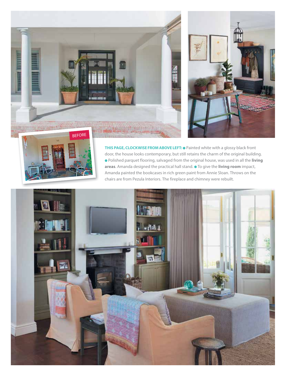**THIS PAGE, CLOCKWISE FROM ABOVE LEFT:** • Painted white with a glossy black front BEFORE



**HERRICH BEEFEREE** 

door, the house looks contemporary, but still retains the charm of the original building. Polished parquet flooring, salvaged from the original house, was used in all the **living**  areas. Amanda designed the practical hall stand.  $\bullet$  To give the **living room** impact, Amanda painted the bookcases in rich green paint from Annie Sloan. Throws on the chairs are from Pezula Interiors. The fireplace and chimney were rebuilt.

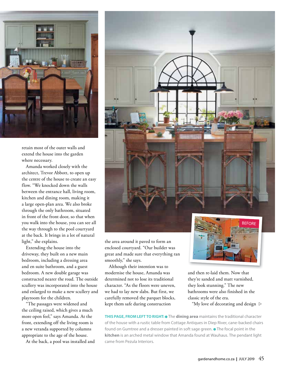

retain most of the outer walls and extend the house into the garden where necessary.

Amanda worked closely with the architect, Trevor Abbott, to open up the centre of the house to create an easy flow. "We knocked down the walls between the entrance hall, living room, kitchen and dining room, making it a large open-plan area. We also broke through the only bathroom, situated in front of the front door, so that when you walk into the house, you can see all the way through to the pool courtyard at the back. It brings in a lot of natural light," she explains.

Extending the house into the driveway, they built on a new main bedroom, including a dressing area and en suite bathroom, and a guest bedroom. A new double garage was constructed nearer the road. The outside scullery was incorporated into the house and enlarged to make a new scullery and playroom for the children.

"The passages were widened and the ceiling raised, which gives a much more open feel," says Amanda. At the front, extending off the living room is a new veranda supported by columns appropriate to the age of the house.

At the back, a pool was installed and



the area around it paved to form an enclosed courtyard. "Our builder was great and made sure that everything ran smoothly," she says.

Although their intention was to modernise the house, Amanda was determined not to lose its traditional character. "As the floors were uneven, we had to lay new slabs. But first, we carefully removed the parquet blocks, kept them safe during construction



and then re-laid them. Now that they're sanded and matt varnished, they look stunning." The new bathrooms were also finished in the classic style of the era.

"My love of decorating and design  $\triangleright$ 

**THIS PAGE, FROM LEFT TO RIGHT:**  $\bullet$  The **dining area** maintains the traditional character of the house with a rustic table from Cottage Antiques in Diep River, cane-backed chairs found on Gumtree and a dresser painted in soft sage green. • The focal point in the **kitchen** is an arched metal window that Amanda found at Wauhaus. The pendant light came from Pezula Interiors.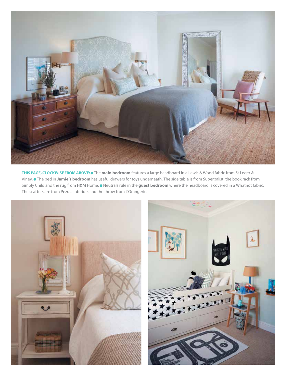

**THIS PAGE, CLOCKWISE FROM ABOVE:** The **main bedroom** features a large headboard in a Lewis & Wood fabric from St Leger & Viney. The bed in **Jamie's bedroom** has useful drawers for toys underneath. The side table is from Superbalist, the book rack from Simply Child and the rug from H&M Home.  $\bullet$  Neutrals rule in the guest bedroom where the headboard is covered in a Whatnot fabric. The scatters are from Pezula Interiors and the throw from L'Orangerie.